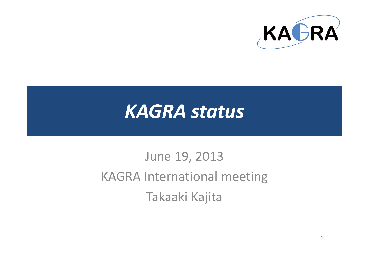

# *KAGRA status*

## June 19, 2013 KAGRA International meeting Takaaki Kajita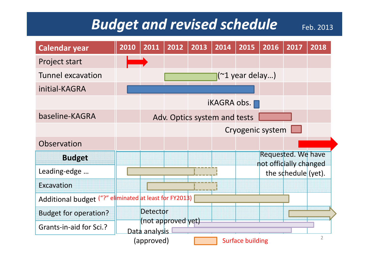#### *Budget and revised schedule* Feb. 2013

**Calendar year <sup>2010</sup> <sup>2011</sup> <sup>2012</sup> <sup>2013</sup> <sup>2014</sup> <sup>2015</sup> <sup>2016</sup> <sup>2017</sup> <sup>2018</sup>** Project start Tunnel excavation initial‐KAGRAiKAGRA obs. (~1 year delay…) baseline‐KAGRAAdv. Optics system and tests Cryogenic system **Budget Observation** Requested. We have Leading‐edge … Excavationnot officially changed the schedule (yet). Additional budget ("?" el<mark>i</mark>minated at least for FY2013) Budget for operation? Detector ended (not approved yet)<br>
Pata analysis Grants‐in‐aid for Sci.?Data analysis (approved)  $\sqrt{2}$  Surface building  $\sqrt{2}$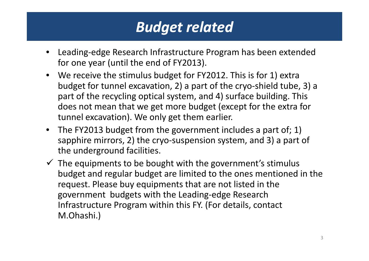#### *Budget related*

- • Leading‐edge Research Infrastructure Program has been extended for one year (until the end of FY2013).
- We receive the stimulus budget for FY2012. This is for 1) extra budget for tunnel excavation, 2) <sup>a</sup> part of the cryo‐shield tube, 3) <sup>a</sup> part of the recycling optical system, and 4) surface building. This does not mean that we get more budget (except for the extra for tunnel excavation). We only get them earlier.
- The FY2013 budget from the government includes <sup>a</sup> part of; 1) sapphire mirrors, 2) the cryo‐suspension system, and 3) <sup>a</sup> part of the underground facilities.
- $\checkmark$  The equipments to be bought with the government's stimulus budget and regular budget are limited to the ones mentioned in the request. Please buy equipments that are not listed in the government budgets with the Leading‐edge Research Infrastructure Program within this FY. (For details, contact M.Ohashi.)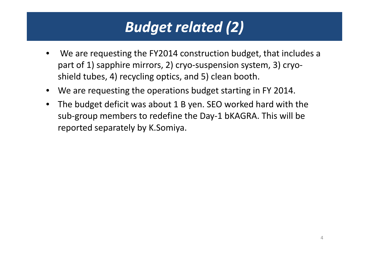### *Budget related (2)*

- • We are requesting the FY2014 construction budget, that includes <sup>a</sup> part of 1) sapphire mirrors, 2) cryo‐suspension system, 3) cryo‐ shield tubes, 4) recycling optics, and 5) clean booth.
- $\bullet$ We are requesting the operations budget starting in FY 2014.
- $\bullet$  The budget deficit was about 1 B yen. SEO worked hard with the sub-group members to redefine the Day-1 bKAGRA. This will be reported separately by K.Somiya.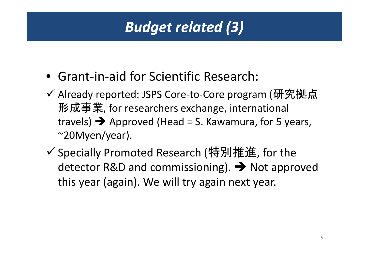### *Budget related (3)*

- Grant‐in‐aid for Scientific Research:
- ✔ Already reported: JSPS Core-to-Core program (研究拠点 形成事業, for researchers exchange, international travels)  $\rightarrow$  Approved (Head = S. Kawamura, for 5 years, ~20Myen/year).
- ✔ Specially Promoted Research (特別推進, for the detector R&D and commissioning).  $\rightarrow$  Not approved this year (again). We will try again next year.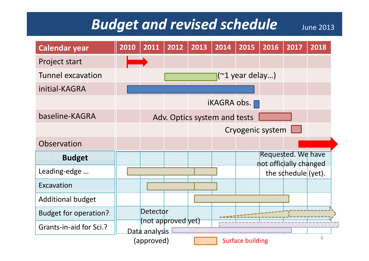#### **Budget and revised schedule** June 2013

| <b>Calendar year</b>         | 2010 | 2011            | 2012                         | 2013 | 2014               | 2015                    | 2016                                         | 2017                   | 2018 |
|------------------------------|------|-----------------|------------------------------|------|--------------------|-------------------------|----------------------------------------------|------------------------|------|
| Project start                |      |                 |                              |      |                    |                         |                                              |                        |      |
| <b>Tunnel excavation</b>     |      |                 |                              |      |                    | $\sqrt{21}$ year delay) |                                              |                        |      |
| initial-KAGRA                |      |                 |                              |      |                    |                         |                                              |                        |      |
|                              |      |                 |                              |      | <b>iKAGRA</b> obs. |                         |                                              |                        |      |
| baseline-KAGRA               |      |                 | Adv. Optics system and tests |      |                    |                         |                                              |                        |      |
|                              |      |                 |                              |      |                    |                         | Cryogenic system                             |                        |      |
| Observation                  |      |                 |                              |      |                    |                         |                                              |                        |      |
| <b>Budget</b>                |      |                 |                              |      |                    |                         | Requested. We have<br>not officially changed |                        |      |
| Leading-edge                 |      |                 |                              |      |                    |                         |                                              | the schedule $(yet)$ . |      |
| Excavation                   |      |                 |                              |      |                    |                         |                                              |                        |      |
| <b>Additional budget</b>     |      |                 |                              |      |                    |                         |                                              |                        |      |
| <b>Budget for operation?</b> |      | <b>Detector</b> |                              |      |                    |                         |                                              |                        |      |
| Grants-in-aid for Sci.?      |      | Data analysis   | (not approved yet)           |      |                    |                         |                                              |                        |      |
|                              |      | (approved)      |                              |      |                    | <b>Surface building</b> |                                              |                        | 6    |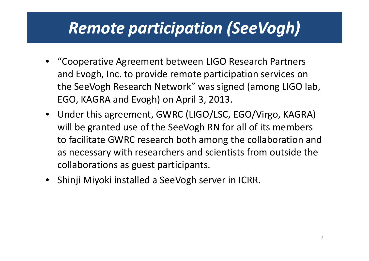### *Remote participation (SeeVogh SeeVogh)*

- • "Cooperative Agreement between LIGO Research Partners and Evogh, Inc. to provide remote participation services on the SeeVogh Research Network" was signed (among LIGO lab, EGO, KAGRA and Evogh) on April 3, 2013.
- Under this agreement, GWRC (LIGO/LSC, EGO/Virgo, KAGRA) will be granted use of the SeeVogh RN for all of its members to facilitate GWRC research both among the collaboration and as necessary with researchers and scientists from outside the collaborations as guest participants.
- Shinji Miyoki installed <sup>a</sup> SeeVogh server in ICRR.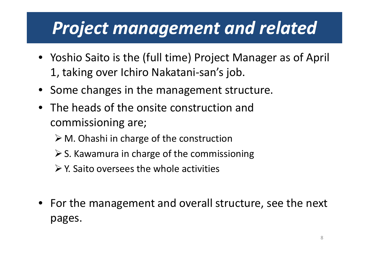## *Project management and related*

- Yoshio Saito is the (full time) Project Manager as of April 1, taking over Ichiro Nakatani-san's job.
- Some changes in the management structure.
- $\bullet$  The heads of the onsite construction and commissioning are;
	- ¾ M. Ohashi in charge of the construction
	- $\triangleright$  S. Kawamura in charge of the commissioning
	- $\triangleright$  Y. Saito oversees the whole activities
- For the management and overall structure, see the next pages.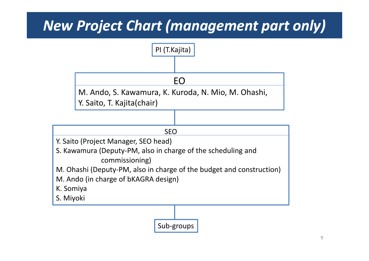#### *New Project Chart (management part only)*

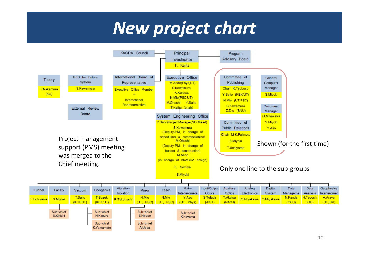## *New project chart*

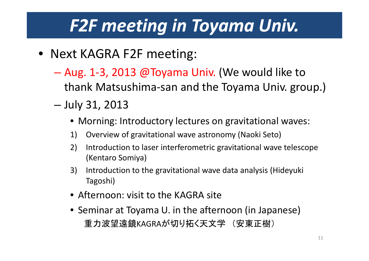# *F2F meeting in Toyama Univ.*

- Next KAGRA F2F meeting:
	- – Aug. 1‐3, 2013 @Toyama Univ. (We would like to thank Matsushima‐san and the Toyama Univ. group.)
	- –— July 31, 2013
		- Morning: Introductory lectures on gravitational waves:
		- 1) Overview of gravitational wave astronomy (Naoki Seto)
		- 2) Introduction to laser interferometric gravitational wave telescope (Kentaro Somiya)
		- 3) Introduction to the gravitational wave data analysis (Hideyuki Tagoshi)
		- Afternoon: visit to the KAGRA site
		- Seminar at Toyama U. in the afternoon (in Japanese) 重力波望遠鏡KAGRAが切り拓く天文学 (安東正樹)